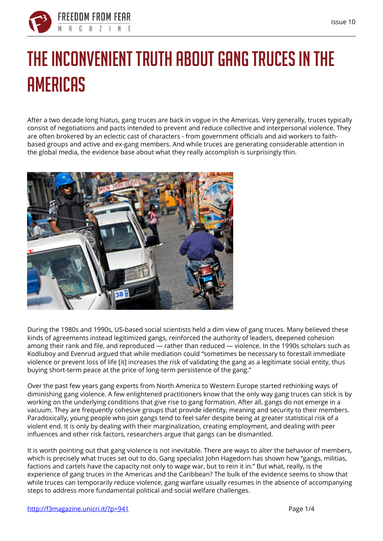

# **The inconvenient truth about gang truces in the Americas**

After a two decade long hiatus, gang truces are back in vogue in the Americas. Very generally, truces typically consist of negotiations and pacts intended to prevent and reduce collective and interpersonal violence. They are often brokered by an eclectic cast of characters - from government officials and aid workers to faithbased groups and active and ex-gang members. And while truces are generating considerable attention in the global media, the evidence base about what they really accomplish is surprisingly thin.



During the 1980s and 1990s, US-based social scientists held a dim view of gang truces. Many believed these kinds of agreements instead legitimized gangs, reinforced the authority of leaders, deepened cohesion among their rank and file, and reproduced — rather than reduced — violence. In the 1990s scholars such as Kodluboy and Evenrud argued that while mediation could "sometimes be necessary to forestall immediate violence or prevent loss of life [it] increases the risk of validating the gang as a legitimate social entity, thus buying short-term peace at the price of long-term persistence of the gang."

Over the past few years gang experts from North America to Western Europe started rethinking ways of diminishing gang violence. A few enlightened practitioners know that the only way gang truces can stick is by working on the underlying conditions that give rise to gang formation. After all, gangs do not emerge in a vacuum. They are frequently cohesive groups that provide identity, meaning and security to their members. Paradoxically, young people who join gangs tend to feel safer despite being at greater statistical risk of a violent end. It is only by dealing with their marginalization, creating employment, and dealing with peer influences and other risk factors, researchers argue that gangs can be dismantled.

It is worth pointing out that gang violence is not inevitable. There are ways to alter the behavior of members, which is precisely what truces set out to do. Gang specialist John Hagedorn has shown how "gangs, militias, factions and cartels have the capacity not only to wage war, but to rein it in." But what, really, is the experience of gang truces in the Americas and the Caribbean? The bulk of the evidence seems to show that while truces can temporarily reduce violence, gang warfare usually resumes in the absence of accompanying steps to address more fundamental political and social welfare challenges.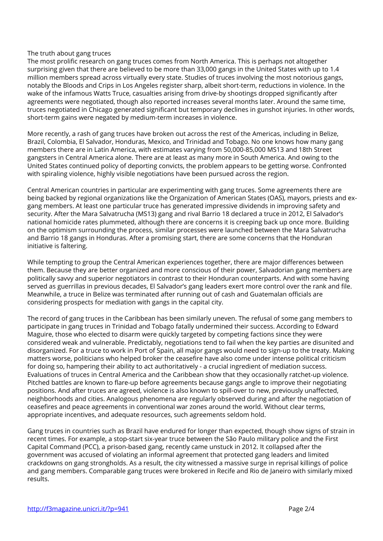#### **The truth about gang truces**

The most prolific research on gang truces comes from North America. This is perhaps not altogether surprising given that there are believed to be more than 33,000 gangs in the United States with up to 1.4 million members spread across virtually every state. Studies of truces involving the most notorious gangs, notably the Bloods and Crips in Los Angeles register sharp, albeit short-term, reductions in violence. In the wake of the infamous Watts Truce, casualties arising from drive-by shootings dropped significantly after agreements were negotiated, though also reported increases several months later. Around the same time, truces negotiated in Chicago generated significant but temporary declines in gunshot injuries. In other words, short-term gains were negated by medium-term increases in violence.

More recently, a rash of gang truces have broken out across the rest of the Americas, including in Belize, Brazil, Colombia, El Salvador, Honduras, Mexico, and Trinidad and Tobago. No one knows how many gang members there are in Latin America, with estimates varying from 50,000-85,000 MS13 and 18th Street gangsters in Central America alone. There are at least as many more in South America. And owing to the United States continued policy of deporting convicts, the problem appears to be getting worse. Confronted with spiraling violence, highly visible negotiations have been pursued across the region.

Central American countries in particular are experimenting with gang truces. Some agreements there are being backed by regional organizations like the Organization of American States (OAS), mayors, priests and exgang members. At least one particular truce has generated impressive dividends in improving safety and security. After the Mara Salvatrucha (MS13) gang and rival Barrio 18 declared a truce in 2012, El Salvador's national homicide rates plummeted, although there are concerns it is creeping back up once more. Building on the optimism surrounding the process, similar processes were launched between the Mara Salvatrucha and Barrio 18 gangs in Honduras. After a promising start, there are some concerns that the Honduran initiative is faltering.

While tempting to group the Central American experiences together, there are major differences between them. Because they are better organized and more conscious of their power, Salvadorian gang members are politically savvy and superior negotiators in contrast to their Honduran counterparts. And with some having served as guerrillas in previous decades, El Salvador's gang leaders exert more control over the rank and file. Meanwhile, a truce in Belize was terminated after running out of cash and Guatemalan officials are considering prospects for mediation with gangs in the capital city.

The record of gang truces in the Caribbean has been similarly uneven. The refusal of some gang members to participate in gang truces in Trinidad and Tobago fatally undermined their success. According to Edward Maguire, those who elected to disarm were quickly targeted by competing factions since they were considered weak and vulnerable. Predictably, negotiations tend to fail when the key parties are disunited and disorganized. For a truce to work in Port of Spain, all major gangs would need to sign-up to the treaty. Making matters worse, politicians who helped broker the ceasefire have also come under intense political criticism for doing so, hampering their ability to act authoritatively - a crucial ingredient of mediation success. Evaluations of truces in Central America and the Caribbean show that they occasionally ratchet-up violence. Pitched battles are known to flare-up before agreements because gangs angle to improve their negotiating positions. And after truces are agreed, violence is also known to spill-over to new, previously unaffected, neighborhoods and cities. Analogous phenomena are regularly observed during and after the negotiation of ceasefires and peace agreements in conventional war zones around the world. Without clear terms, appropriate incentives, and adequate resources, such agreements seldom hold.

Gang truces in countries such as Brazil have endured for longer than expected, though show signs of strain in recent times. For example, a stop-start six-year truce between the São Paulo military police and the First Capital Command (PCC), a prison-based gang, recently came unstuck in 2012. It collapsed after the government was accused of violating an informal agreement that protected gang leaders and limited crackdowns on gang strongholds. As a result, the city witnessed a massive surge in reprisal killings of police and gang members. Comparable gang truces were brokered in Recife and Rio de Janeiro with similarly mixed results.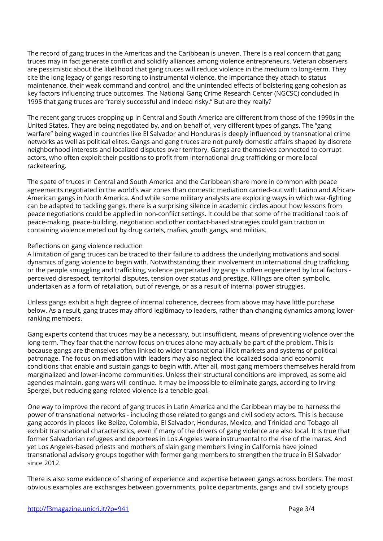The record of gang truces in the Americas and the Caribbean is uneven. There is a real concern that gang truces may in fact generate conflict and solidify alliances among violence entrepreneurs. Veteran observers are pessimistic about the likelihood that gang truces will reduce violence in the medium to long-term. They cite the long legacy of gangs resorting to instrumental violence, the importance they attach to status maintenance, their weak command and control, and the unintended effects of bolstering gang cohesion as key factors influencing truce outcomes. The National Gang Crime Research Center (NGCSC) concluded in 1995 that gang truces are "rarely successful and indeed risky." But are they really?

The recent gang truces cropping up in Central and South America are different from those of the 1990s in the United States. They are being negotiated by, and on behalf of, very different types of gangs. The "gang warfare" being waged in countries like El Salvador and Honduras is deeply influenced by transnational crime networks as well as political elites. Gangs and gang truces are not purely domestic affairs shaped by discrete neighborhood interests and localized disputes over territory. Gangs are themselves connected to corrupt actors, who often exploit their positions to profit from international drug trafficking or more local racketeering.

The spate of truces in Central and South America and the Caribbean share more in common with peace agreements negotiated in the world's war zones than domestic mediation carried-out with Latino and African-American gangs in North America. And while some military analysts are exploring ways in which war-fighting can be adapted to tackling gangs, there is a surprising silence in academic circles about how lessons from peace negotiations could be applied in non-conflict settings. It could be that some of the traditional tools of peace-making, peace-building, negotiation and other contact-based strategies could gain traction in containing violence meted out by drug cartels, mafias, youth gangs, and militias.

## **Reflections on gang violence reduction**

A limitation of gang truces can be traced to their failure to address the underlying motivations and social dynamics of gang violence to begin with. Notwithstanding their involvement in international drug trafficking or the people smuggling and trafficking, violence perpetrated by gangs is often engendered by local factors perceived disrespect, territorial disputes, tension over status and prestige. Killings are often symbolic, undertaken as a form of retaliation, out of revenge, or as a result of internal power struggles.

Unless gangs exhibit a high degree of internal coherence, decrees from above may have little purchase below. As a result, gang truces may afford legitimacy to leaders, rather than changing dynamics among lowerranking members.

Gang experts contend that truces may be a necessary, but insufficient, means of preventing violence over the long-term. They fear that the narrow focus on truces alone may actually be part of the problem. This is because gangs are themselves often linked to wider transnational illicit markets and systems of political patronage. The focus on mediation with leaders may also neglect the localized social and economic conditions that enable and sustain gangs to begin with. After all, most gang members themselves herald from marginalized and lower-income communities. Unless their structural conditions are improved, as some aid agencies maintain, gang wars will continue. It may be impossible to eliminate gangs, according to Irving Spergel, but reducing gang-related violence is a tenable goal.

One way to improve the record of gang truces in Latin America and the Caribbean may be to harness the power of transnational networks - including those related to gangs and civil society actors. This is because gang accords in places like Belize, Colombia, El Salvador, Honduras, Mexico, and Trinidad and Tobago all exhibit transnational characteristics, even if many of the drivers of gang violence are also local. It is true that former Salvadorian refugees and deportees in Los Angeles were instrumental to the rise of the maras. And yet Los Angeles-based priests and mothers of slain gang members living in California have joined transnational advisory groups together with former gang members to strengthen the truce in El Salvador since 2012.

There is also some evidence of sharing of experience and expertise between gangs across borders. The most obvious examples are exchanges between governments, police departments, gangs and civil society groups